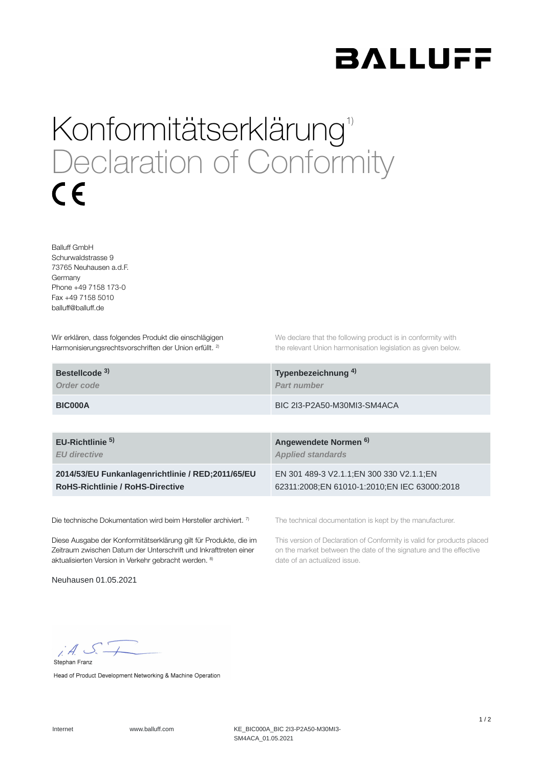

## Konformitätserklärung<sup>1)</sup> Declaration of Conformity  $\epsilon$

Balluff GmbH Schurwaldstrasse 9 73765 Neuhausen a.d.F. Germany Phone +49 7158 173-0 Fax +49 7158 5010 balluff@balluff.de

Wir erklären, dass folgendes Produkt die einschlägigen Harmonisierungsrechtsvorschriften der Union erfüllt. <sup>2)</sup>

We declare that the following product is in conformity with the relevant Union harmonisation legislation as given below.

| Bestellcode <sup>3)</sup> | Typenbezeichnung <sup>4)</sup> |
|---------------------------|--------------------------------|
| Order code                | <b>Part number</b>             |
| <b>BIC000A</b>            | BIC 2I3-P2A50-M30MI3-SM4ACA    |

**EU-Richtlinie Angewendete Normen 5) 6)**

*EU directive*

**2014/53/EU Funkanlagenrichtlinie / RED;2011/65/EU RoHS-Richtlinie / RoHS-Directive**

Die technische Dokumentation wird beim Hersteller archiviert. 7)

Diese Ausgabe der Konformitätserklärung gilt für Produkte, die im Zeitraum zwischen Datum der Unterschrift und Inkrafttreten einer aktualisierten Version in Verkehr gebracht werden. 8)

Neuhausen 01.05.2021

The technical documentation is kept by the manufacturer.

EN 301 489-3 V2.1.1;EN 300 330 V2.1.1;EN 62311:2008;EN 61010-1:2010;EN IEC 63000:2018

date of an actualized issue.

*Applied standards*

This version of Declaration of Conformity is valid for products placed on the market between the date of the signature and the effective

 $iA S.$ Stephan Franz

Head of Product Development Networking & Machine Operation